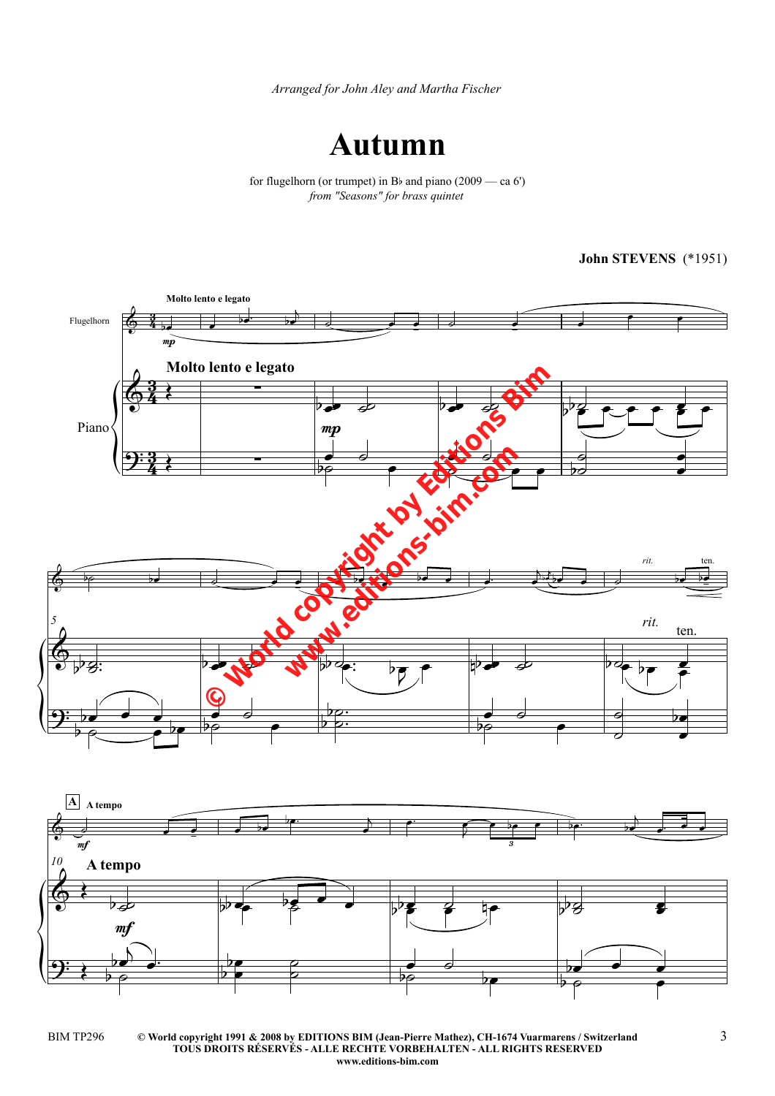*Arranged for John Aley and Martha Fischer*



for flugelhorn (or trumpet) in B<sub>b</sub> and piano (2009 — ca 6') *from "Seasons" for brass quintet*

**John STEVENS** (\*1951)



**© World copyright 1991 & 2008 by EDITIONS BIM (Jean-Pierre Mathez), CH-1674 Vuarmarens / Switzerland** BIM TP296 3 **TOUS DROITS RÉSERVÉS - ALLE RECHTE VORBEHALTEN - ALL RIGHTS RESERVED www.editions-bim.com**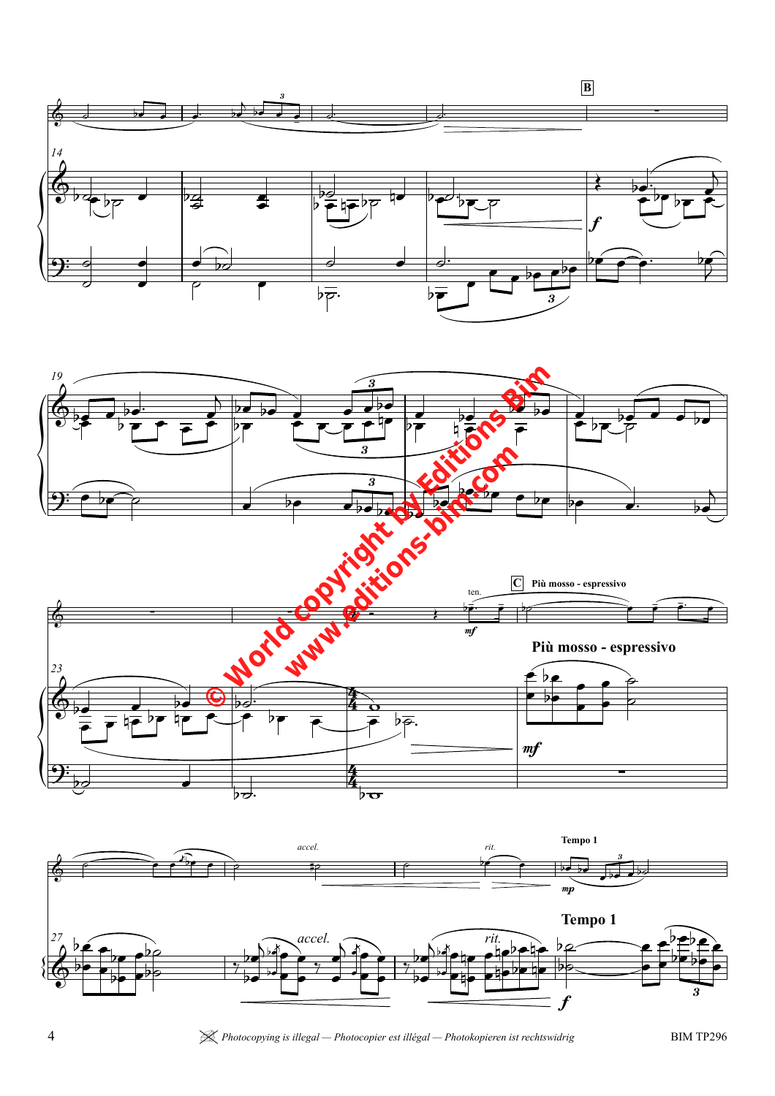







4 *Photocopying is illegal — Photocopier est illégal — Photokopieren ist rechtswidrig* BIM TP296